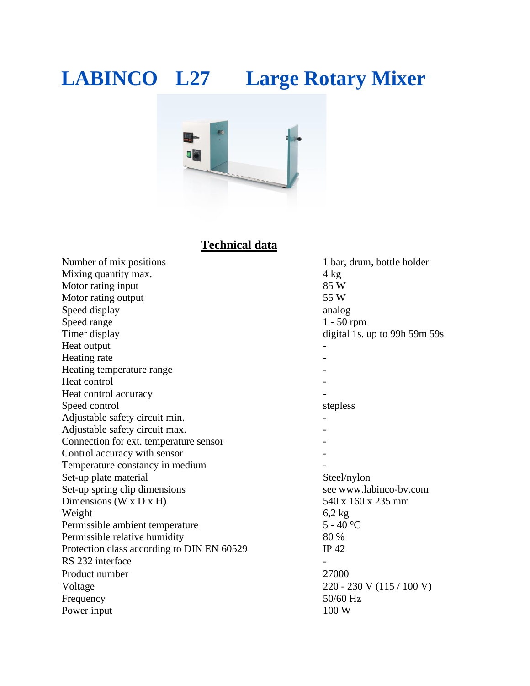## **LABINCO L27 Large Rotary Mixer**



## **Technical data**

Number of mix positions 1 bar, drum, bottle holder Mixing quantity max. 4 kg Motor rating input 85 W Motor rating output 55 W Speed display analog analog analog analog analog analog analog analog analog analog analog analog analog analog analog analog analog analog analog analog analog analog analog analog analog analog analog analog analog analo Speed range 1 - 50 rpm Timer display digital 1s. up to 99h 59m 59s Heat output **-**Heating rate that the same state of the state of the state of the state of the state of the state of the state of the state of the state of the state of the state of the state of the state of the state of the state of the Heating temperature range Heat control Heat control accuracy Speed control stepless Adjustable safety circuit min. Adjustable safety circuit max. - Connection for ext. temperature sensor - Control accuracy with sensor Temperature constancy in medium - Set-up plate material Steel/nylon Set-up spring clip dimensions see<www.labinco-bv.com> Dimensions (W x D x H)  $540 \times 160 \times 235$  mm Weight 6,2 kg Permissible ambient temperature 5 - 40 °C Permissible relative humidity 80 % Protection class according to DIN EN 60529 IP 42 RS 232 interface Product number 27000 Voltage 220 - 230 V (115 / 100 V) Frequency 50/60 Hz Power input 100 W